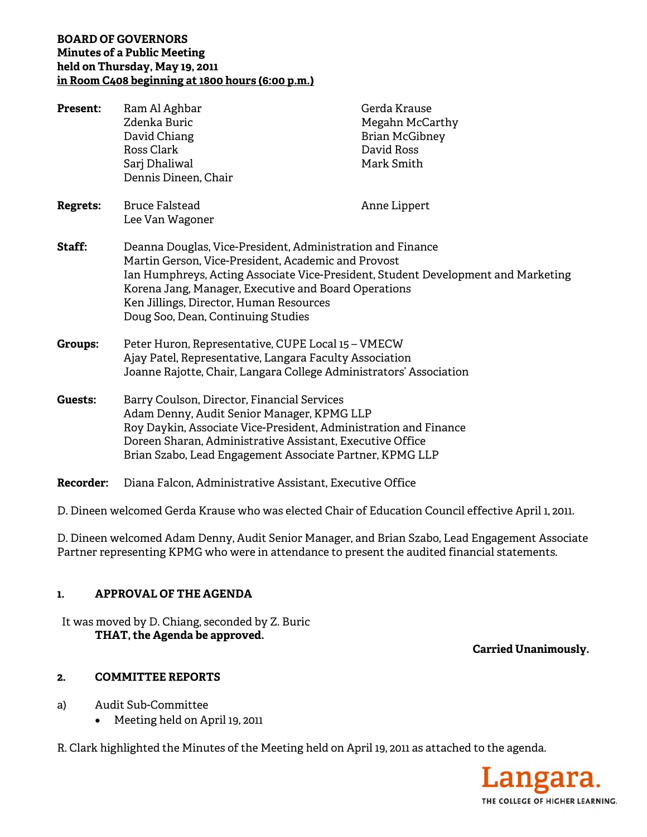# **BOARD OF GOVERNORS Minutes of a Public Meeting held on Thursday, May 19, 2011 in Room C408 beginning at 1800 hours (6:00 p.m.)**

| <b>Present:</b>  | Ram Al Aghbar<br>Zdenka Buric<br>David Chiang<br>Ross Clark<br>Sarj Dhaliwal<br>Dennis Dineen, Chair                                                                                                                                                                                                                                            | Gerda Krause<br>Megahn McCarthy<br><b>Brian McGibney</b><br>David Ross<br>Mark Smith |
|------------------|-------------------------------------------------------------------------------------------------------------------------------------------------------------------------------------------------------------------------------------------------------------------------------------------------------------------------------------------------|--------------------------------------------------------------------------------------|
| <b>Regrets:</b>  | <b>Bruce Falstead</b><br>Lee Van Wagoner                                                                                                                                                                                                                                                                                                        | Anne Lippert                                                                         |
| Staff:           | Deanna Douglas, Vice-President, Administration and Finance<br>Martin Gerson, Vice-President, Academic and Provost<br>Ian Humphreys, Acting Associate Vice-President, Student Development and Marketing<br>Korena Jang, Manager, Executive and Board Operations<br>Ken Jillings, Director, Human Resources<br>Doug Soo, Dean, Continuing Studies |                                                                                      |
| <b>Groups:</b>   | Peter Huron, Representative, CUPE Local 15 - VMECW<br>Ajay Patel, Representative, Langara Faculty Association<br>Joanne Rajotte, Chair, Langara College Administrators' Association                                                                                                                                                             |                                                                                      |
| Guests:          | Barry Coulson, Director, Financial Services<br>Adam Denny, Audit Senior Manager, KPMG LLP<br>Roy Daykin, Associate Vice-President, Administration and Finance<br>Doreen Sharan, Administrative Assistant, Executive Office<br>Brian Szabo, Lead Engagement Associate Partner, KPMG LLP                                                          |                                                                                      |
| <b>Recorder:</b> | Diana Falcon, Administrative Assistant, Executive Office                                                                                                                                                                                                                                                                                        |                                                                                      |

D. Dineen welcomed Gerda Krause who was elected Chair of Education Council effective April 1, 2011.

D. Dineen welcomed Adam Denny, Audit Senior Manager, and Brian Szabo, Lead Engagement Associate Partner representing KPMG who were in attendance to present the audited financial statements.

# **1. APPROVAL OF THE AGENDA**

It was moved by D. Chiang, seconded by Z. Buric **THAT, the Agenda be approved.** 

 **Carried Unanimously.** 

# **2. COMMITTEE REPORTS**

- a) Audit Sub-Committee
	- Meeting held on April 19, 2011

R. Clark highlighted the Minutes of the Meeting held on April 19, 2011 as attached to the agenda.

angara. THE COLLEGE OF HIGHER LEARNING.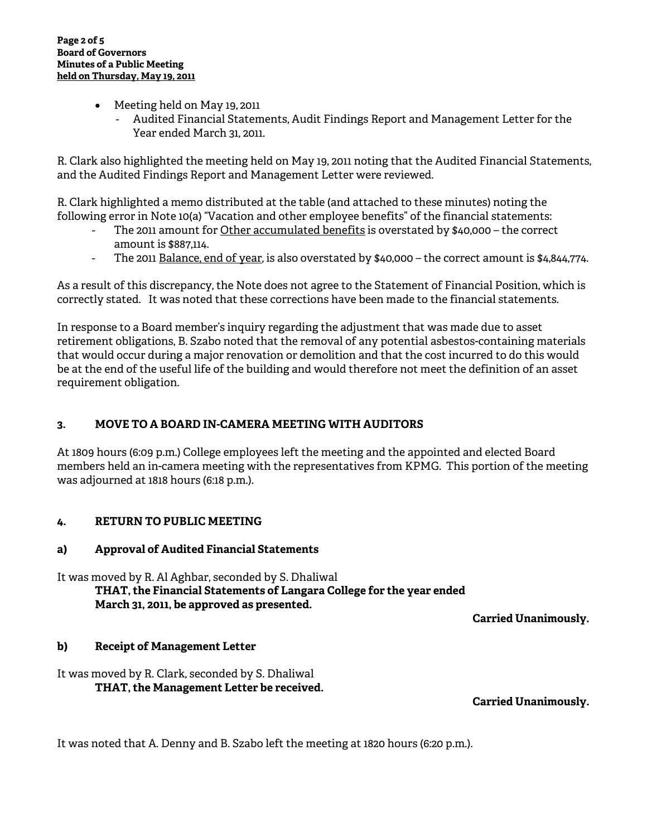- Meeting held on May 19, 2011
	- Audited Financial Statements, Audit Findings Report and Management Letter for the Year ended March 31, 2011.

R. Clark also highlighted the meeting held on May 19, 2011 noting that the Audited Financial Statements, and the Audited Findings Report and Management Letter were reviewed.

R. Clark highlighted a memo distributed at the table (and attached to these minutes) noting the following error in Note 10(a) "Vacation and other employee benefits" of the financial statements:

- The 2011 amount for Other accumulated benefits is overstated by \$40,000 the correct amount is \$887,114.
- The 2011 Balance, end of year, is also overstated by \$40,000 the correct amount is \$4,844,774.

As a result of this discrepancy, the Note does not agree to the Statement of Financial Position, which is correctly stated. It was noted that these corrections have been made to the financial statements.

In response to a Board member's inquiry regarding the adjustment that was made due to asset retirement obligations, B. Szabo noted that the removal of any potential asbestos-containing materials that would occur during a major renovation or demolition and that the cost incurred to do this would be at the end of the useful life of the building and would therefore not meet the definition of an asset requirement obligation.

# **3. MOVE TO A BOARD IN-CAMERA MEETING WITH AUDITORS**

At 1809 hours (6:09 p.m.) College employees left the meeting and the appointed and elected Board members held an in-camera meeting with the representatives from KPMG. This portion of the meeting was adjourned at 1818 hours (6:18 p.m.).

# **4. RETURN TO PUBLIC MEETING**

# **a) Approval of Audited Financial Statements**

It was moved by R. Al Aghbar, seconded by S. Dhaliwal **THAT, the Financial Statements of Langara College for the year ended March 31, 2011, be approved as presented.** 

**Carried Unanimously.** 

#### **b) Receipt of Management Letter**

It was moved by R. Clark, seconded by S. Dhaliwal **THAT, the Management Letter be received.** 

**Carried Unanimously.** 

It was noted that A. Denny and B. Szabo left the meeting at 1820 hours (6:20 p.m.).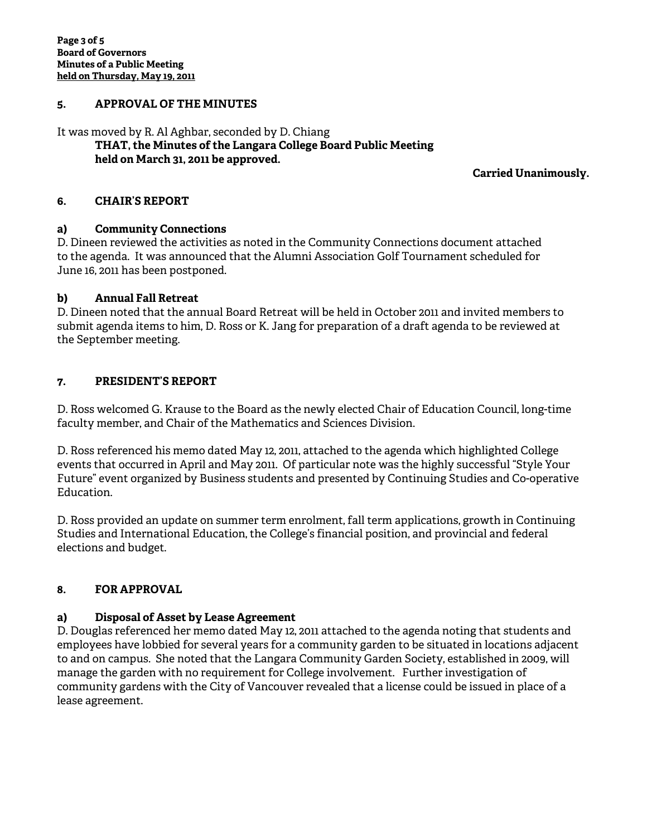### **5. APPROVAL OF THE MINUTES**

#### It was moved by R. Al Aghbar, seconded by D. Chiang **THAT, the Minutes of the Langara College Board Public Meeting held on March 31, 2011 be approved.**

 **Carried Unanimously.** 

#### **6. CHAIR'S REPORT**

### **a) Community Connections**

D. Dineen reviewed the activities as noted in the Community Connections document attached to the agenda. It was announced that the Alumni Association Golf Tournament scheduled for June 16, 2011 has been postponed.

### **b) Annual Fall Retreat**

D. Dineen noted that the annual Board Retreat will be held in October 2011 and invited members to submit agenda items to him, D. Ross or K. Jang for preparation of a draft agenda to be reviewed at the September meeting.

### **7. PRESIDENT'S REPORT**

D. Ross welcomed G. Krause to the Board as the newly elected Chair of Education Council, long-time faculty member, and Chair of the Mathematics and Sciences Division.

D. Ross referenced his memo dated May 12, 2011, attached to the agenda which highlighted College events that occurred in April and May 2011. Of particular note was the highly successful "Style Your Future" event organized by Business students and presented by Continuing Studies and Co-operative Education.

D. Ross provided an update on summer term enrolment, fall term applications, growth in Continuing Studies and International Education, the College's financial position, and provincial and federal elections and budget.

# **8. FOR APPROVAL**

# **a) Disposal of Asset by Lease Agreement**

D. Douglas referenced her memo dated May 12, 2011 attached to the agenda noting that students and employees have lobbied for several years for a community garden to be situated in locations adjacent to and on campus. She noted that the Langara Community Garden Society, established in 2009, will manage the garden with no requirement for College involvement. Further investigation of community gardens with the City of Vancouver revealed that a license could be issued in place of a lease agreement.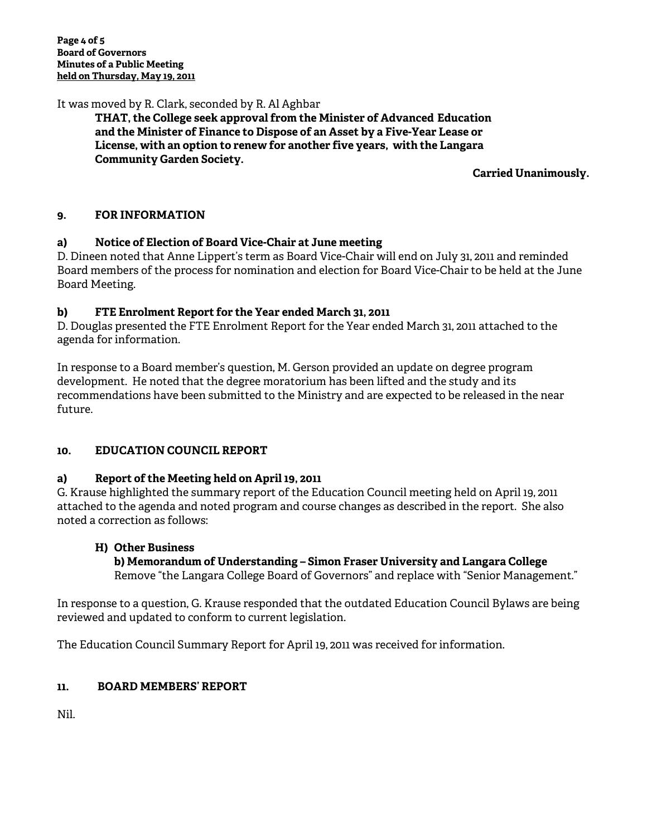It was moved by R. Clark, seconded by R. Al Aghbar

**THAT, the College seek approval from the Minister of Advanced Education and the Minister of Finance to Dispose of an Asset by a Five-Year Lease or License, with an option to renew for another five years, with the Langara Community Garden Society.** 

**Carried Unanimously.**

# **9. FOR INFORMATION**

# **a) Notice of Election of Board Vice-Chair at June meeting**

D. Dineen noted that Anne Lippert's term as Board Vice-Chair will end on July 31, 2011 and reminded Board members of the process for nomination and election for Board Vice-Chair to be held at the June Board Meeting.

### **b) FTE Enrolment Report for the Year ended March 31, 2011**

D. Douglas presented the FTE Enrolment Report for the Year ended March 31, 2011 attached to the agenda for information.

In response to a Board member's question, M. Gerson provided an update on degree program development. He noted that the degree moratorium has been lifted and the study and its recommendations have been submitted to the Ministry and are expected to be released in the near future.

# **10. EDUCATION COUNCIL REPORT**

# **a) Report of the Meeting held on April 19, 2011**

G. Krause highlighted the summary report of the Education Council meeting held on April 19, 2011 attached to the agenda and noted program and course changes as described in the report. She also noted a correction as follows:

#### **H) Other Business**

 **b) Memorandum of Understanding – Simon Fraser University and Langara College** Remove "the Langara College Board of Governors" and replace with "Senior Management."

In response to a question, G. Krause responded that the outdated Education Council Bylaws are being reviewed and updated to conform to current legislation.

The Education Council Summary Report for April 19, 2011 was received for information.

#### **11. BOARD MEMBERS' REPORT**

Nil.